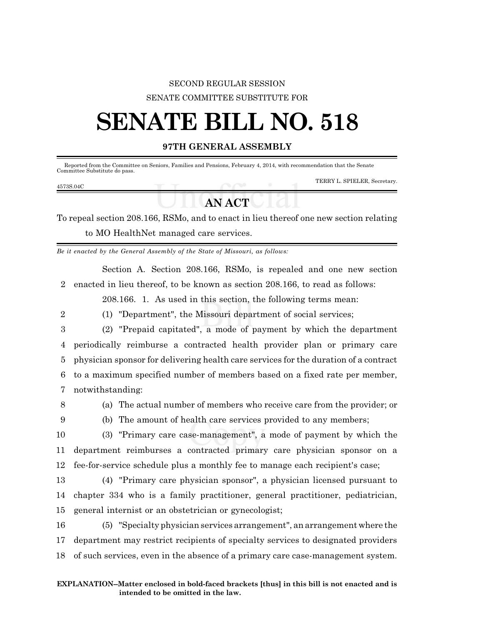## SECOND REGULAR SESSION SENATE COMMITTEE SUBSTITUTE FOR

## **SENATE BILL NO. 518**

## **97TH GENERAL ASSEMBLY**

| Committee Substitute do pass. | Reported from the Committee on Seniors, Families and Pensions, February 4, 2014, with recommendation that the Senate |        |  |                              |
|-------------------------------|----------------------------------------------------------------------------------------------------------------------|--------|--|------------------------------|
| 4573S.04C                     |                                                                                                                      |        |  | TERRY L. SPIELER, Secretary. |
|                               |                                                                                                                      | AN ACT |  |                              |

To repeal section 208.166, RSMo, and to enact in lieu thereof one new section relating to MO HealthNet managed care services.

*Be it enacted by the General Assembly of the State of Missouri, as follows:*

Section A. Section 208.166, RSMo, is repealed and one new section 2 enacted in lieu thereof, to be known as section 208.166, to read as follows:

208.166. 1. As used in this section, the following terms mean:

2 (1) "Department", the Missouri department of social services;

 (2) "Prepaid capitated", a mode of payment by which the department periodically reimburse a contracted health provider plan or primary care physician sponsor for delivering health care services for the duration of a contract to a maximum specified number of members based on a fixed rate per member, notwithstanding:

8 (a) The actual number of members who receive care from the provider; or

9 (b) The amount of health care services provided to any members;

10 (3) "Primary care case-management", a mode of payment by which the 11 department reimburses a contracted primary care physician sponsor on a 12 fee-for-service schedule plus a monthly fee to manage each recipient's case;

13 (4) "Primary care physician sponsor", a physician licensed pursuant to 14 chapter 334 who is a family practitioner, general practitioner, pediatrician, 15 general internist or an obstetrician or gynecologist;

16 (5) "Specialty physician services arrangement", an arrangement where the 17 department may restrict recipients of specialty services to designated providers 18 of such services, even in the absence of a primary care case-management system.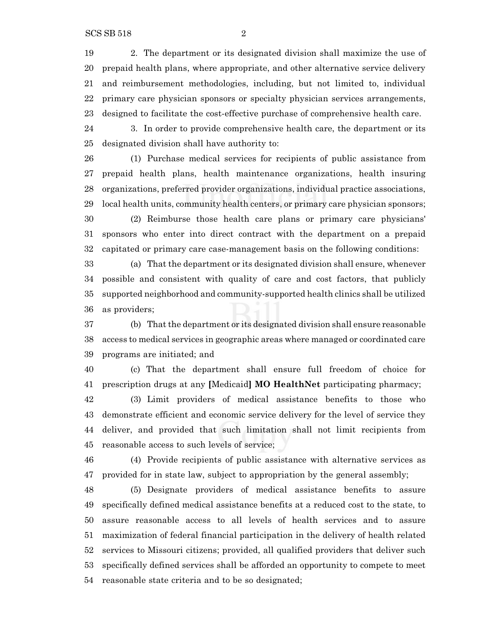2. The department or its designated division shall maximize the use of prepaid health plans, where appropriate, and other alternative service delivery and reimbursement methodologies, including, but not limited to, individual primary care physician sponsors or specialty physician services arrangements, designed to facilitate the cost-effective purchase of comprehensive health care.

 3. In order to provide comprehensive health care, the department or its designated division shall have authority to:

 (1) Purchase medical services for recipients of public assistance from prepaid health plans, health maintenance organizations, health insuring organizations, preferred provider organizations, individual practice associations, local health units, community health centers, or primary care physician sponsors;

 (2) Reimburse those health care plans or primary care physicians' sponsors who enter into direct contract with the department on a prepaid capitated or primary care case-management basis on the following conditions:

 (a) That the department or its designated division shall ensure, whenever possible and consistent with quality of care and cost factors, that publicly supported neighborhood and community-supported health clinics shall be utilized as providers;

 (b) That the department or its designated division shall ensure reasonable access to medical services in geographic areas where managed or coordinated care programs are initiated; and

 (c) That the department shall ensure full freedom of choice for prescription drugs at any **[**Medicaid**] MO HealthNet** participating pharmacy;

 (3) Limit providers of medical assistance benefits to those who demonstrate efficient and economic service delivery for the level of service they deliver, and provided that such limitation shall not limit recipients from reasonable access to such levels of service;

 (4) Provide recipients of public assistance with alternative services as provided for in state law, subject to appropriation by the general assembly;

 (5) Designate providers of medical assistance benefits to assure specifically defined medical assistance benefits at a reduced cost to the state, to assure reasonable access to all levels of health services and to assure maximization of federal financial participation in the delivery of health related services to Missouri citizens; provided, all qualified providers that deliver such specifically defined services shall be afforded an opportunity to compete to meet reasonable state criteria and to be so designated;